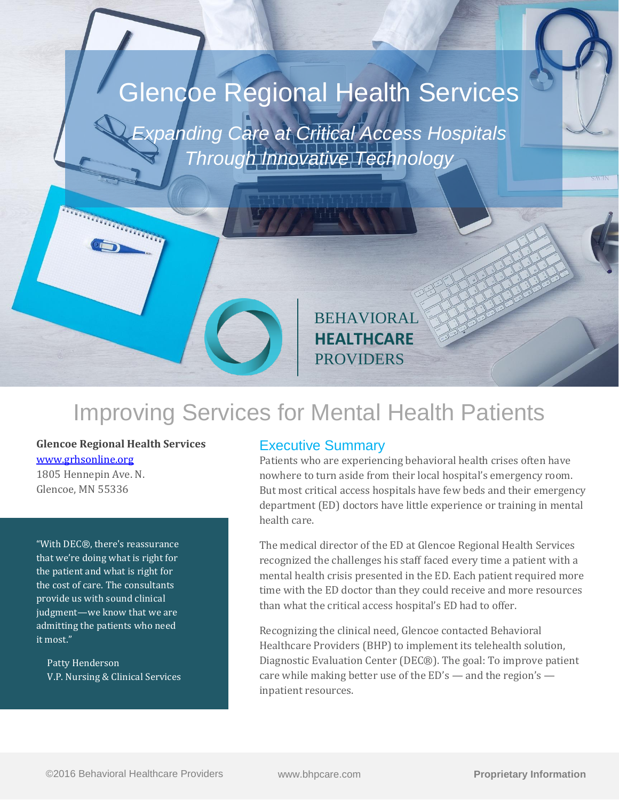# Glencoe Regional Health Services

*Expanding Care at Critical Access Hospitals Through Innovative Technology*

> BEHAVIORAL **HEALTHCARE** PROVIDERS

## Improving Services for Mental Health Patients

**Glencoe Regional Health Services** [www.grhsonline.org](http://www.grhsonline.org/)

**TENNISY TENNISY** 

1805 Hennepin Ave. N. Glencoe, MN 55336

"With DEC®, there's reassurance that we're doing what is right for the patient and what is right for the cost of care. The consultants provide us with sound clinical judgment—we know that we are admitting the patients who need it most."

 Patty Henderson V.P. Nursing & Clinical Services

#### Executive Summary

Patients who are experiencing behavioral health crises often have nowhere to turn aside from their local hospital's emergency room. But most critical access hospitals have few beds and their emergency department (ED) doctors have little experience or training in mental health care.

The medical director of the ED at Glencoe Regional Health Services recognized the challenges his staff faced every time a patient with a mental health crisis presented in the ED. Each patient required more time with the ED doctor than they could receive and more resources than what the critical access hospital's ED had to offer.

Recognizing the clinical need, Glencoe contacted Behavioral Healthcare Providers (BHP) to implement its telehealth solution, Diagnostic Evaluation Center (DEC®). The goal: To improve patient care while making better use of the  $ED's$  — and the region's inpatient resources.